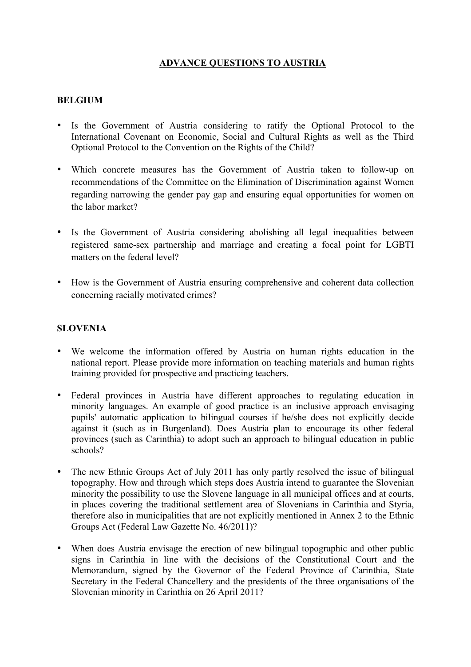## **ADVANCE QUESTIONS TO AUSTRIA**

## **BELGIUM**

- Is the Government of Austria considering to ratify the Optional Protocol to the International Covenant on Economic, Social and Cultural Rights as well as the Third Optional Protocol to the Convention on the Rights of the Child?
- Which concrete measures has the Government of Austria taken to follow-up on recommendations of the Committee on the Elimination of Discrimination against Women regarding narrowing the gender pay gap and ensuring equal opportunities for women on the labor market?
- Is the Government of Austria considering abolishing all legal inequalities between registered same-sex partnership and marriage and creating a focal point for LGBTI matters on the federal level?
- How is the Government of Austria ensuring comprehensive and coherent data collection concerning racially motivated crimes?

## **SLOVENIA**

- We welcome the information offered by Austria on human rights education in the national report. Please provide more information on teaching materials and human rights training provided for prospective and practicing teachers.
- Federal provinces in Austria have different approaches to regulating education in minority languages. An example of good practice is an inclusive approach envisaging pupils' automatic application to bilingual courses if he/she does not explicitly decide against it (such as in Burgenland). Does Austria plan to encourage its other federal provinces (such as Carinthia) to adopt such an approach to bilingual education in public schools?
- The new Ethnic Groups Act of July 2011 has only partly resolved the issue of bilingual topography. How and through which steps does Austria intend to guarantee the Slovenian minority the possibility to use the Slovene language in all municipal offices and at courts, in places covering the traditional settlement area of Slovenians in Carinthia and Styria, therefore also in municipalities that are not explicitly mentioned in Annex 2 to the Ethnic Groups Act (Federal Law Gazette No. 46/2011)?
- When does Austria envisage the erection of new bilingual topographic and other public signs in Carinthia in line with the decisions of the Constitutional Court and the Memorandum, signed by the Governor of the Federal Province of Carinthia, State Secretary in the Federal Chancellery and the presidents of the three organisations of the Slovenian minority in Carinthia on 26 April 2011?